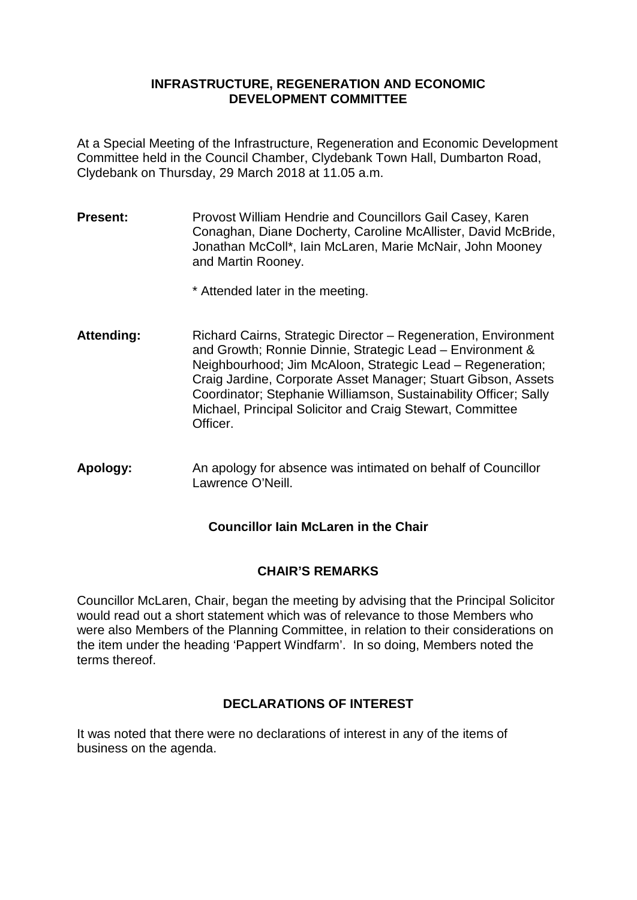### **INFRASTRUCTURE, REGENERATION AND ECONOMIC DEVELOPMENT COMMITTEE**

At a Special Meeting of the Infrastructure, Regeneration and Economic Development Committee held in the Council Chamber, Clydebank Town Hall, Dumbarton Road, Clydebank on Thursday, 29 March 2018 at 11.05 a.m.

**Present:** Provost William Hendrie and Councillors Gail Casey, Karen Conaghan, Diane Docherty, Caroline McAllister, David McBride, Jonathan McColl\*, Iain McLaren, Marie McNair, John Mooney and Martin Rooney.

\* Attended later in the meeting.

- Attending: Richard Cairns, Strategic Director Regeneration, Environment and Growth; Ronnie Dinnie, Strategic Lead – Environment & Neighbourhood; Jim McAloon, Strategic Lead – Regeneration; Craig Jardine, Corporate Asset Manager; Stuart Gibson, Assets Coordinator; Stephanie Williamson, Sustainability Officer; Sally Michael, Principal Solicitor and Craig Stewart, Committee Officer.
- **Apology:** An apology for absence was intimated on behalf of Councillor Lawrence O'Neill.

# **Councillor Iain McLaren in the Chair**

## **CHAIR'S REMARKS**

Councillor McLaren, Chair, began the meeting by advising that the Principal Solicitor would read out a short statement which was of relevance to those Members who were also Members of the Planning Committee, in relation to their considerations on the item under the heading 'Pappert Windfarm'.In so doing, Members noted the terms thereof.

## **DECLARATIONS OF INTEREST**

It was noted that there were no declarations of interest in any of the items of business on the agenda.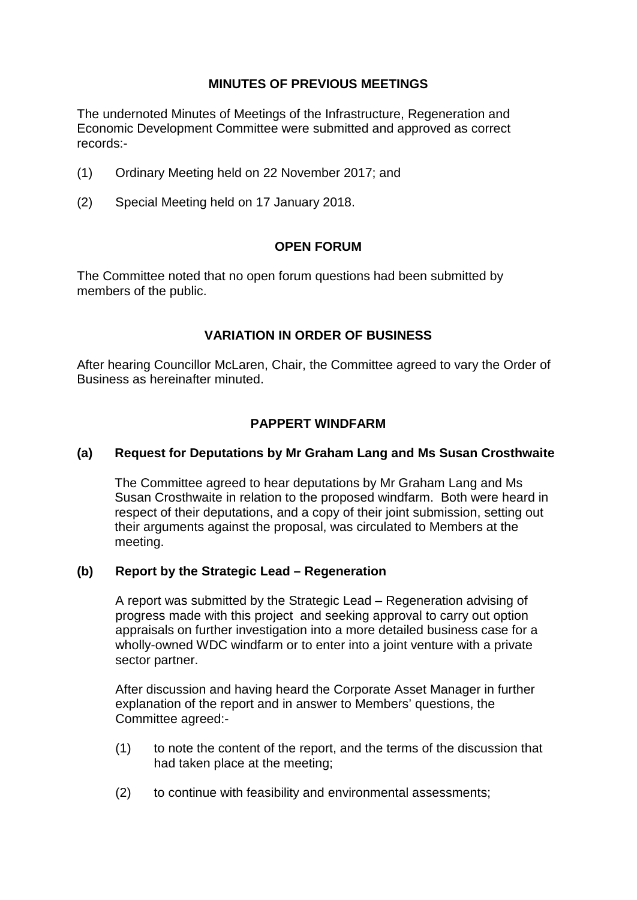# **MINUTES OF PREVIOUS MEETINGS**

The undernoted Minutes of Meetings of the Infrastructure, Regeneration and Economic Development Committee were submitted and approved as correct records:-

- (1) Ordinary Meeting held on 22 November 2017; and
- (2) Special Meeting held on 17 January 2018.

#### **OPEN FORUM**

The Committee noted that no open forum questions had been submitted by members of the public.

## **VARIATION IN ORDER OF BUSINESS**

After hearing Councillor McLaren, Chair, the Committee agreed to vary the Order of Business as hereinafter minuted.

## **PAPPERT WINDFARM**

### **(a) Request for Deputations by Mr Graham Lang and Ms Susan Crosthwaite**

The Committee agreed to hear deputations by Mr Graham Lang and Ms Susan Crosthwaite in relation to the proposed windfarm. Both were heard in respect of their deputations, and a copy of their joint submission, setting out their arguments against the proposal, was circulated to Members at the meeting.

#### **(b) Report by the Strategic Lead – Regeneration**

A report was submitted by the Strategic Lead – Regeneration advising of progress made with this project and seeking approval to carry out option appraisals on further investigation into a more detailed business case for a wholly-owned WDC windfarm or to enter into a joint venture with a private sector partner.

After discussion and having heard the Corporate Asset Manager in further explanation of the report and in answer to Members' questions, the Committee agreed:-

- (1) to note the content of the report, and the terms of the discussion that had taken place at the meeting;
- (2) to continue with feasibility and environmental assessments;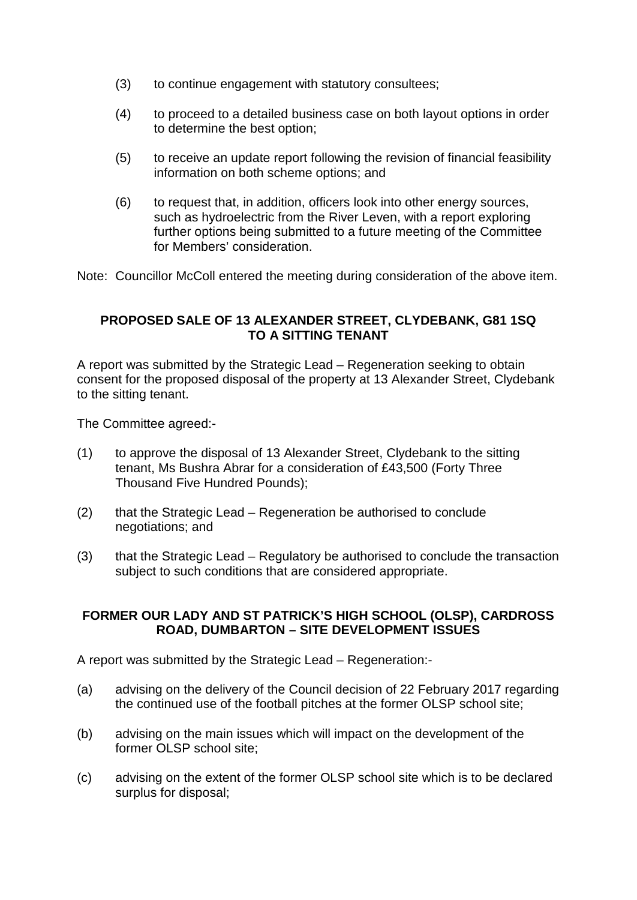- (3) to continue engagement with statutory consultees;
- (4) to proceed to a detailed business case on both layout options in order to determine the best option;
- (5) to receive an update report following the revision of financial feasibility information on both scheme options; and
- (6) to request that, in addition, officers look into other energy sources, such as hydroelectric from the River Leven, with a report exploring further options being submitted to a future meeting of the Committee for Members' consideration.

Note: Councillor McColl entered the meeting during consideration of the above item.

## **PROPOSED SALE OF 13 ALEXANDER STREET, CLYDEBANK, G81 1SQ TO A SITTING TENANT**

A report was submitted by the Strategic Lead – Regeneration seeking to obtain consent for the proposed disposal of the property at 13 Alexander Street, Clydebank to the sitting tenant.

The Committee agreed:-

- (1) to approve the disposal of 13 Alexander Street, Clydebank to the sitting tenant, Ms Bushra Abrar for a consideration of £43,500 (Forty Three Thousand Five Hundred Pounds);
- (2) that the Strategic Lead Regeneration be authorised to conclude negotiations; and
- (3) that the Strategic Lead Regulatory be authorised to conclude the transaction subject to such conditions that are considered appropriate.

## **FORMER OUR LADY AND ST PATRICK'S HIGH SCHOOL (OLSP), CARDROSS ROAD, DUMBARTON – SITE DEVELOPMENT ISSUES**

A report was submitted by the Strategic Lead – Regeneration:-

- (a) advising on the delivery of the Council decision of 22 February 2017 regarding the continued use of the football pitches at the former OLSP school site;
- (b) advising on the main issues which will impact on the development of the former OLSP school site;
- (c) advising on the extent of the former OLSP school site which is to be declared surplus for disposal;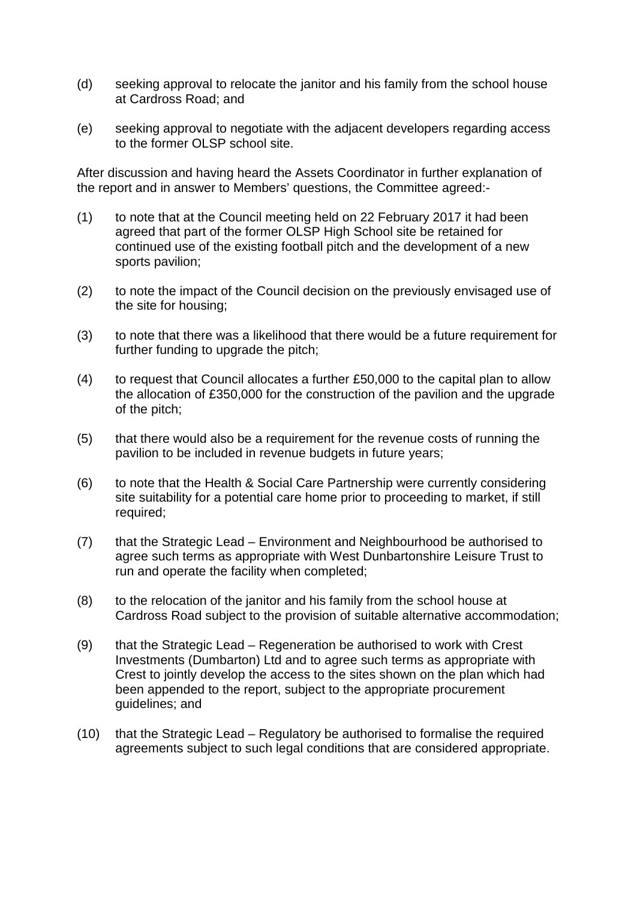- (d) seeking approval to relocate the janitor and his family from the school house at Cardross Road; and
- (e) seeking approval to negotiate with the adjacent developers regarding access to the former OLSP school site.

After discussion and having heard the Assets Coordinator in further explanation of the report and in answer to Members' questions, the Committee agreed:-

- (1) to note that at the Council meeting held on 22 February 2017 it had been agreed that part of the former OLSP High School site be retained for continued use of the existing football pitch and the development of a new sports pavilion;
- (2) to note the impact of the Council decision on the previously envisaged use of the site for housing;
- (3) to note that there was a likelihood that there would be a future requirement for further funding to upgrade the pitch;
- (4) to request that Council allocates a further £50,000 to the capital plan to allow the allocation of £350,000 for the construction of the pavilion and the upgrade of the pitch;
- (5) that there would also be a requirement for the revenue costs of running the pavilion to be included in revenue budgets in future years;
- (6) to note that the Health & Social Care Partnership were currently considering site suitability for a potential care home prior to proceeding to market, if still required;
- (7) that the Strategic Lead Environment and Neighbourhood be authorised to agree such terms as appropriate with West Dunbartonshire Leisure Trust to run and operate the facility when completed;
- (8) to the relocation of the janitor and his family from the school house at Cardross Road subject to the provision of suitable alternative accommodation;
- (9) that the Strategic Lead Regeneration be authorised to work with Crest Investments (Dumbarton) Ltd and to agree such terms as appropriate with Crest to jointly develop the access to the sites shown on the plan which had been appended to the report, subject to the appropriate procurement guidelines; and
- (10) that the Strategic Lead Regulatory be authorised to formalise the required agreements subject to such legal conditions that are considered appropriate.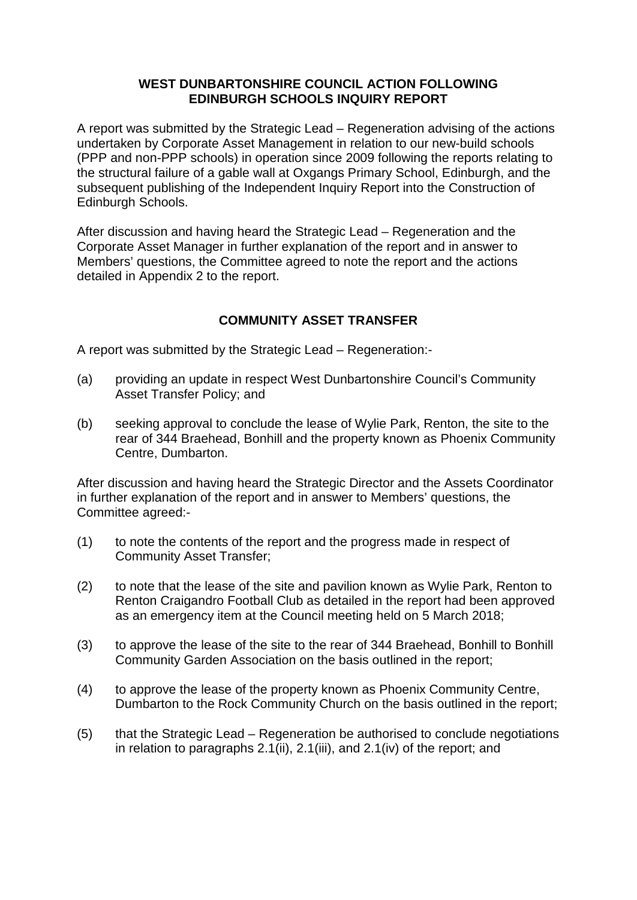### **WEST DUNBARTONSHIRE COUNCIL ACTION FOLLOWING EDINBURGH SCHOOLS INQUIRY REPORT**

A report was submitted by the Strategic Lead – Regeneration advising of the actions undertaken by Corporate Asset Management in relation to our new-build schools (PPP and non-PPP schools) in operation since 2009 following the reports relating to the structural failure of a gable wall at Oxgangs Primary School, Edinburgh, and the subsequent publishing of the Independent Inquiry Report into the Construction of Edinburgh Schools.

After discussion and having heard the Strategic Lead – Regeneration and the Corporate Asset Manager in further explanation of the report and in answer to Members' questions, the Committee agreed to note the report and the actions detailed in Appendix 2 to the report.

# **COMMUNITY ASSET TRANSFER**

A report was submitted by the Strategic Lead – Regeneration:-

- (a) providing an update in respect West Dunbartonshire Council's Community Asset Transfer Policy; and
- (b) seeking approval to conclude the lease of Wylie Park, Renton, the site to the rear of 344 Braehead, Bonhill and the property known as Phoenix Community Centre, Dumbarton.

After discussion and having heard the Strategic Director and the Assets Coordinator in further explanation of the report and in answer to Members' questions, the Committee agreed:-

- (1) to note the contents of the report and the progress made in respect of Community Asset Transfer;
- (2) to note that the lease of the site and pavilion known as Wylie Park, Renton to Renton Craigandro Football Club as detailed in the report had been approved as an emergency item at the Council meeting held on 5 March 2018;
- (3) to approve the lease of the site to the rear of 344 Braehead, Bonhill to Bonhill Community Garden Association on the basis outlined in the report;
- (4) to approve the lease of the property known as Phoenix Community Centre, Dumbarton to the Rock Community Church on the basis outlined in the report;
- (5) that the Strategic Lead Regeneration be authorised to conclude negotiations in relation to paragraphs 2.1(ii), 2.1(iii), and 2.1(iv) of the report; and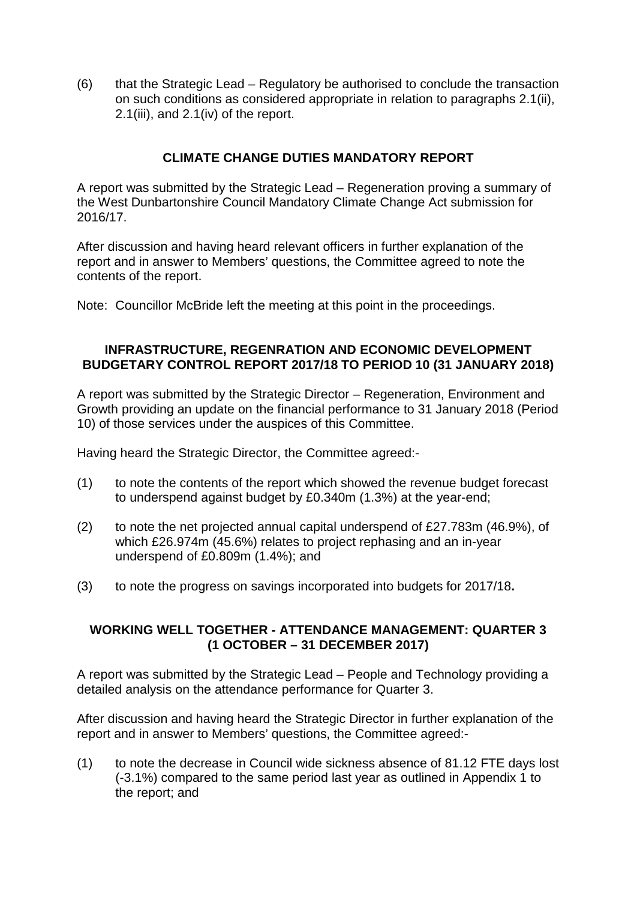(6) that the Strategic Lead – Regulatory be authorised to conclude the transaction on such conditions as considered appropriate in relation to paragraphs 2.1(ii), 2.1(iii), and 2.1(iv) of the report.

# **CLIMATE CHANGE DUTIES MANDATORY REPORT**

A report was submitted by the Strategic Lead – Regeneration proving a summary of the West Dunbartonshire Council Mandatory Climate Change Act submission for 2016/17.

After discussion and having heard relevant officers in further explanation of the report and in answer to Members' questions, the Committee agreed to note the contents of the report.

Note: Councillor McBride left the meeting at this point in the proceedings.

## **INFRASTRUCTURE, REGENRATION AND ECONOMIC DEVELOPMENT BUDGETARY CONTROL REPORT 2017/18 TO PERIOD 10 (31 JANUARY 2018)**

A report was submitted by the Strategic Director – Regeneration, Environment and Growth providing an update on the financial performance to 31 January 2018 (Period 10) of those services under the auspices of this Committee.

Having heard the Strategic Director, the Committee agreed:-

- (1) to note the contents of the report which showed the revenue budget forecast to underspend against budget by £0.340m (1.3%) at the year-end;
- (2) to note the net projected annual capital underspend of £27.783m (46.9%), of which £26.974m (45.6%) relates to project rephasing and an in-year underspend of £0.809m (1.4%); and
- (3) to note the progress on savings incorporated into budgets for 2017/18**.**

## **WORKING WELL TOGETHER - ATTENDANCE MANAGEMENT: QUARTER 3 (1 OCTOBER – 31 DECEMBER 2017)**

A report was submitted by the Strategic Lead – People and Technology providing a detailed analysis on the attendance performance for Quarter 3.

After discussion and having heard the Strategic Director in further explanation of the report and in answer to Members' questions, the Committee agreed:-

(1) to note the decrease in Council wide sickness absence of 81.12 FTE days lost (-3.1%) compared to the same period last year as outlined in Appendix 1 to the report; and